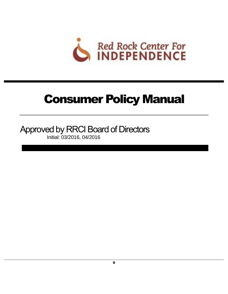

# Consumer Policy Manual

Approved by RRCI Board of Directors Initial: 03/2016, 04/2016

0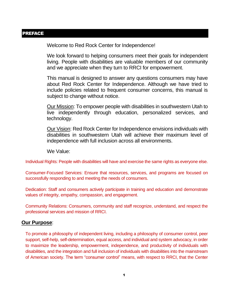### <span id="page-1-0"></span>PREFACE

Welcome to Red Rock Center for Independence!

We look forward to helping consumers meet their goals for independent living. People with disabilities are valuable members of our community and we appreciate when they turn to RRCI for empowerment.

This manual is designed to answer any questions consumers may have about Red Rock Center for Independence. Although we have tried to include policies related to frequent consumer concerns, this manual is subject to change without notice.

Our Mission: To empower people with disabilities in southwestern Utah to live independently through education, personalized services, and technology.

Our Vision: Red Rock Center for Independence envisions individuals with disabilities in southwestern Utah will achieve their maximum level of independence with full inclusion across all environments.

We Value:

Individual Rights: People with disabilities will have and exercise the same rights as everyone else.

Consumer-Focused Services: Ensure that resources, services, and programs are focused on successfully responding to and meeting the needs of consumers.

Dedication: Staff and consumers actively participate in training and education and demonstrate values of integrity, empathy, compassion, and engagement.

Community Relations: Consumers, community and staff recognize, understand, and respect the professional services and mission of RRCI.

#### **Our Purpose**:

To promote a philosophy of independent living, including a philosophy of consumer control, peer support, self-help, self-determination, equal access, and individual and system advocacy, in order to maximize the leadership, empowerment, independence, and productivity of individuals with disabilities, and the integration and full inclusion of individuals with disabilities into the mainstream of American society. The term "consumer control" means, with respect to RRCI, that the Center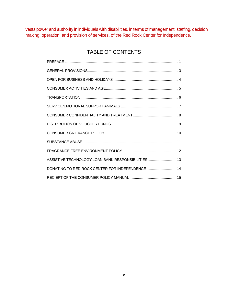vests power and authority in individuals with disabilities, in terms of management, staffing, decision making, operation, and provision of services, of the Red Rock Center for Independence.

## TABLE OF CONTENTS

| ASSISTIVE TECHNOLOGY LOAN BANK RESPONSIBILITIES 13 |
|----------------------------------------------------|
| DONATING TO RED ROCK CENTER FOR INDEPENDENCE 14    |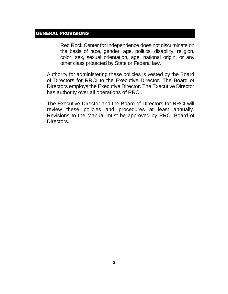#### <span id="page-3-0"></span>GENERAL PROVISIONS

Red Rock Center for Independence does not discriminate on the basis of race, gender, age, politics, disability, religion, color, sex, sexual orientation, age, national origin, or any other class protected by State or Federal law.

Authority for administering these policies is vested by the Board of Directors for RRCI to the Executive Director. The Board of Directors employs the Executive Director. The Executive Director has authority over all operations of RRCI.

The Executive Director and the Board of Directors for RRCI will review these policies and procedures at least annually. Revisions to the Manual must be approved by RRCI Board of Directors.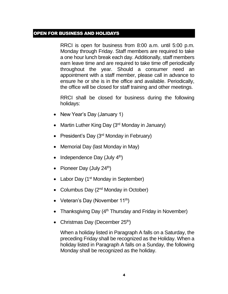#### <span id="page-4-0"></span>OPEN FOR BUSINESS AND HOLIDAYS

RRCI is open for business from 8:00 a.m. until 5:00 p.m. Monday through Friday. Staff members are required to take a one hour lunch break each day. Additionally, staff members earn leave time and are required to take time off periodically throughout the year. Should a consumer need an appointment with a staff member, please call in advance to ensure he or she is in the office and available. Periodically, the office will be closed for staff training and other meetings.

RRCI shall be closed for business during the following holidays:

- New Year's Day (January 1)
- Martin Luther King Day  $(3<sup>rd</sup>$  Monday in January)
- President's Day (3rd Monday in February)
- Memorial Day (last Monday in May)
- Independence Day (July  $4<sup>th</sup>$ )
- Pioneer Day (July  $24<sup>th</sup>$ )
- Labor Day (1<sup>st</sup> Monday in September)
- Columbus Day  $(2^{nd}$  Monday in October)
- Veteran's Day (November  $11^{th}$ )
- Thanksgiving Day  $(4<sup>th</sup> Thursday)$  and Friday in November)
- Christmas Day (December  $25<sup>th</sup>$ )

When a holiday listed in Paragraph A falls on a Saturday, the preceding Friday shall be recognized as the Holiday. When a holiday listed in Paragraph A falls on a Sunday, the following Monday shall be recognized as the holiday.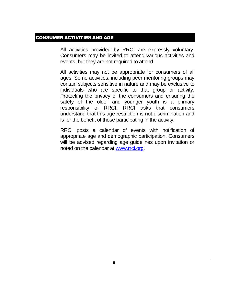## <span id="page-5-0"></span>CONSUMER ACTIVITIES AND AGE

All activities provided by RRCI are expressly voluntary. Consumers may be invited to attend various activities and events, but they are not required to attend.

All activities may not be appropriate for consumers of all ages. Some activities, including peer mentoring groups may contain subjects sensitive in nature and may be exclusive to individuals who are specific to that group or activity. Protecting the privacy of the consumers and ensuring the safety of the older and younger youth is a primary responsibility of RRCI. RRCI asks that consumers understand that this age restriction is not discrimination and is for the benefit of those participating in the activity.

RRCI posts a calendar of events with notification of appropriate age and demographic participation. Consumers will be advised regarding age guidelines upon invitation or noted on the calendar at [www.rrci.org.](http://www.rrci.org/)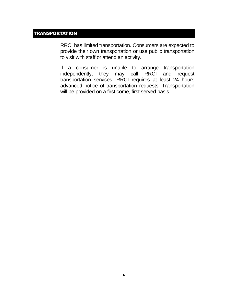## <span id="page-6-0"></span>**TRANSPORTATION**

RRCI has limited transportation. Consumers are expected to provide their own transportation or use public transportation to visit with staff or attend an activity.

If a consumer is unable to arrange transportation independently, they may call RRCI and request transportation services. RRCI requires at least 24 hours advanced notice of transportation requests. Transportation will be provided on a first come, first served basis.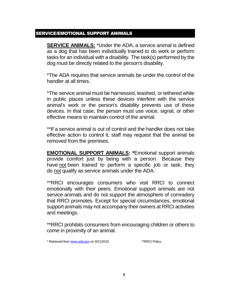#### <span id="page-7-0"></span>SERVICE/EMOTIONAL SUPPORT ANIMALS

**SERVICE ANIMALS:** \*Under the ADA, a service animal is defined as a dog that has been individually trained to do work or perform tasks for an individual with a disability. The task(s) performed by the dog must be directly related to the person's disability.

\*The ADA requires that service animals be under the control of the handler at all times.

\*The service animal must be harnessed, leashed, or tethered while in public places unless these devices interfere with the service animal's work or the person's disability prevents use of these devices. In that case, the person must use voice, signal, or other effective means to maintain control of the animal.

\*\*If a service animal is out of control and the handler does not take effective action to control it, staff may request that the animal be removed from the premises.

**EMOTIONAL SUPPORT ANIMALS: \***Emotional support animals provide comfort just by being with a person. Because they have not been trained to perform a specific job or task, they do not qualify as service animals under the ADA.

\*\*RRCI encourages consumers who visit RRCI to connect emotionally with their peers. Emotional support animals are not service animals and do not support the atmosphere of comradery that RRCI promotes. Except for special circumstances, emotional support animals may not accompany their owners at RRCI activities and meetings.

\*\*RRCI prohibits consumers from encouraging children or others to come in proximity of an animal.

\* Retrieved fro[m www.ada.gov](http://www.ada.gov/) on 9/21/2015 \*\*RRCI Policy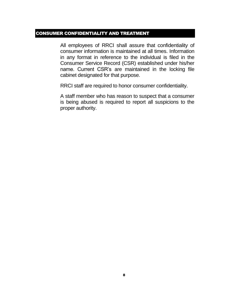## <span id="page-8-0"></span>CONSUMER CONFIDENTIALITY AND TREATMENT

All employees of RRCI shall assure that confidentiality of consumer information is maintained at all times. Information in any format in reference to the individual is filed in the Consumer Service Record (CSR) established under his/her name. Current CSR's are maintained in the locking file cabinet designated for that purpose.

RRCI staff are required to honor consumer confidentiality.

A staff member who has reason to suspect that a consumer is being abused is required to report all suspicions to the proper authority.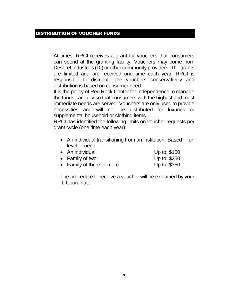### <span id="page-9-0"></span>DISTRIBUTION OF VOUCHER FUNDS

At times, RRCI receives a grant for vouchers that consumers can spend at the granting facility. Vouchers may come from Deseret Industries (DI) or other community providers. The grants are limited and are received one time each year. RRCI is responsible to distribute the vouchers conservatively and distribution is based on consumer need.

It is the policy of Red Rock Center for Independence to manage the funds carefully so that consumers with the highest and most immediate needs are served. Vouchers are only used to provide necessities and will not be distributed for luxuries or supplemental household or clothing items.

RRCI has identified the following limits on voucher requests per grant cycle (one time each year):

| • An individual transitioning from an institution: Based on |  |
|-------------------------------------------------------------|--|
| level of need                                               |  |

| • An individual:           | Up to: \$150 |
|----------------------------|--------------|
| • Family of two:           | Up to: \$250 |
| • Family of three or more: | Up to: \$350 |

The procedure to receive a voucher will be explained by your IL Coordinator.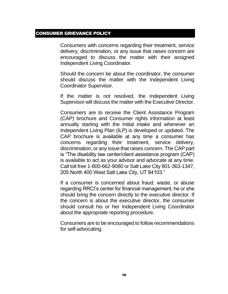### <span id="page-10-0"></span>CONSUMER GRIEVANCE POLICY

Consumers with concerns regarding their treatment, service delivery, discrimination, or any issue that raises concern are encouraged to discuss the matter with their assigned Independent Living Coordinator.

Should the concern be about the coordinator, the consumer should discuss the matter with the Independent Living Coordinator Supervisor.

If the matter is not resolved, the Independent Living Supervisor will discuss the matter with the Executive Director.

Consumers are to receive the Client Assistance Program (CAP) brochure and Consumer rights information at least annually starting with the Initial intake and whenever an Independent Living Plan (ILP) is developed or updated. The CAP brochure is available at any time a consumer has concerns regarding their treatment, service delivery, discrimination, or any issue that raises concern. The CAP part is "The disability law center/client assistance program (CAP) is available to act as your advisor and advocate at any time. Call toll free 1-800-662-9080 or Salt Lake City 801-363-1347, 205 North 400 West Salt Lake City, UT 84103."

If a consumer is concerned about fraud, waste, or abuse regarding RRCI's center for financial management, he or she should bring the concern directly to the executive director. If the concern is about the executive director, the consumer should consult his or her Independent Living Coordinator about the appropriate reporting procedure.

Consumers are to be encouraged to follow recommendations for self-advocating.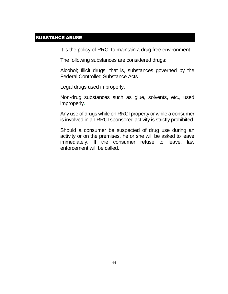## <span id="page-11-0"></span>SUBSTANCE ABUSE

It is the policy of RRCI to maintain a drug free environment.

The following substances are considered drugs:

Alcohol; Illicit drugs, that is, substances governed by the Federal Controlled Substance Acts.

Legal drugs used improperly.

Non-drug substances such as glue, solvents, etc., used improperly.

Any use of drugs while on RRCI property or while a consumer is involved in an RRCI sponsored activity is strictly prohibited.

Should a consumer be suspected of drug use during an activity or on the premises, he or she will be asked to leave immediately. If the consumer refuse to leave, law enforcement will be called.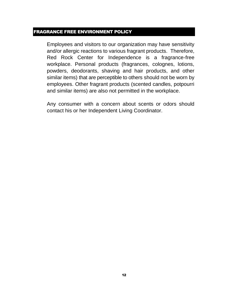## <span id="page-12-0"></span>FRAGRANCE FREE ENVIRONMENT POLICY

Employees and visitors to our organization may have sensitivity and/or allergic reactions to various fragrant products. Therefore, Red Rock Center for Independence is a fragrance-free workplace. Personal products (fragrances, colognes, lotions, powders, deodorants, shaving and hair products, and other similar items) that are perceptible to others should not be worn by employees. Other fragrant products (scented candles, potpourri and similar items) are also not permitted in the workplace.

Any consumer with a concern about scents or odors should contact his or her Independent Living Coordinator.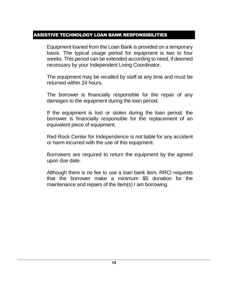## <span id="page-13-0"></span>ASSISTIVE TECHNOLOGY LOAN BANK RESPONSIBILITIES

Equipment loaned from the Loan Bank is provided on a temporary basis. The typical usage period for equipment is two to four weeks. This period can be extended according to need, if deemed necessary by your Independent Living Coordinator.

The equipment may be recalled by staff at any time and must be returned within 24 hours.

The borrower is financially responsible for the repair of any damages to the equipment during the loan period.

If the equipment is lost or stolen during the loan period, the borrower is financially responsible for the replacement of an equivalent piece of equipment.

Red Rock Center for Independence is not liable for any accident or harm incurred with the use of this equipment.

Borrowers are required to return the equipment by the agreed upon due date.

Although there is no fee to use a loan bank item, RRCI requests that the borrower make a minimum \$5 donation for the maintenance and repairs of the item(s) I am borrowing.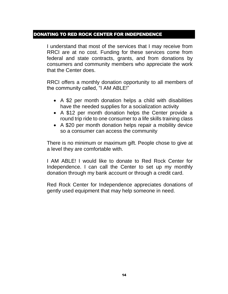## <span id="page-14-0"></span>DONATING TO RED ROCK CENTER FOR INDEPENDENCE

I understand that most of the services that I may receive from RRCI are at no cost. Funding for these services come from federal and state contracts, grants, and from donations by consumers and community members who appreciate the work that the Center does.

RRCI offers a monthly donation opportunity to all members of the community called, "I AM ABLE!"

- A \$2 per month donation helps a child with disabilities have the needed supplies for a socialization activity
- A \$12 per month donation helps the Center provide a round trip ride to one consumer to a life skills training class
- A \$20 per month donation helps repair a mobility device so a consumer can access the community

There is no minimum or maximum gift. People chose to give at a level they are comfortable with.

I AM ABLE! I would like to donate to Red Rock Center for Independence. I can call the Center to set up my monthly donation through my bank account or through a credit card.

Red Rock Center for Independence appreciates donations of gently used equipment that may help someone in need.